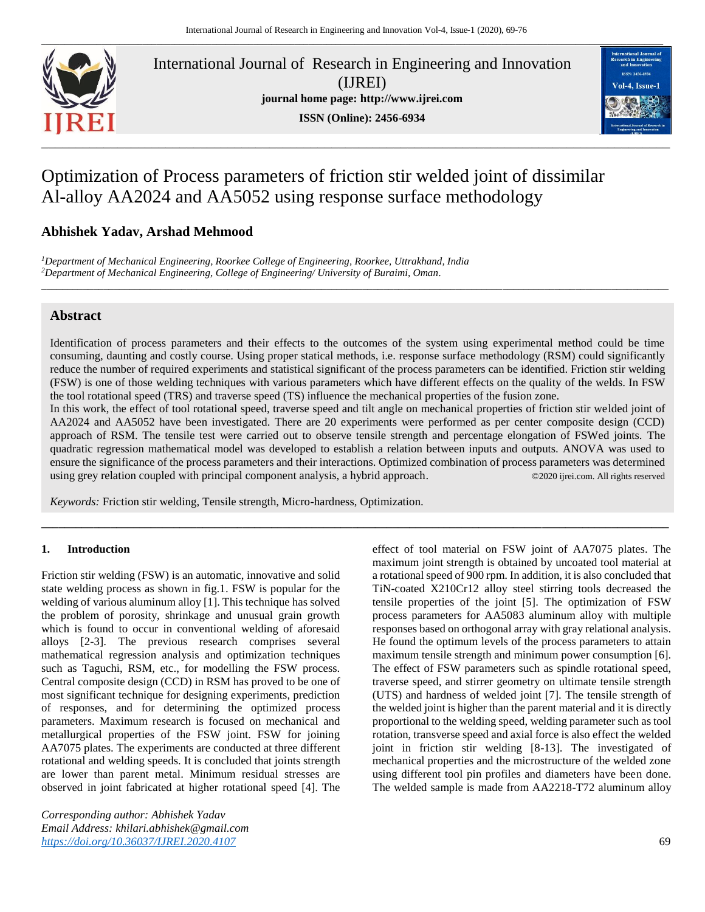

International Journal of Research in Engineering and Innovation (IJREI) **journal home page: [http://www.ijrei.com](http://www.ijrei.com/) ISSN (Online): 2456-6934**



# Optimization of Process parameters of friction stir welded joint of dissimilar Al-alloy AA2024 and AA5052 using response surface methodology

## **Abhishek Yadav, Arshad Mehmood**

*<sup>1</sup>Department of Mechanical Engineering, Roorkee College of Engineering, Roorkee, Uttrakhand, India <sup>2</sup>Department of Mechanical Engineering, College of Engineering/ University of Buraimi, Oman.*

## **Abstract**

Identification of process parameters and their effects to the outcomes of the system using experimental method could be time consuming, daunting and costly course. Using proper statical methods, i.e. response surface methodology (RSM) could significantly reduce the number of required experiments and statistical significant of the process parameters can be identified. Friction stir welding (FSW) is one of those welding techniques with various parameters which have different effects on the quality of the welds. In FSW the tool rotational speed (TRS) and traverse speed (TS) influence the mechanical properties of the fusion zone.

**\_\_\_\_\_\_\_\_\_\_\_\_\_\_\_\_\_\_\_\_\_\_\_\_\_\_\_\_\_\_\_\_\_\_\_\_\_\_\_\_\_\_\_\_\_\_\_\_\_\_\_\_\_\_\_\_\_\_\_\_\_\_\_\_\_\_\_\_\_\_\_\_\_\_\_\_\_\_\_\_\_\_\_\_\_\_\_\_\_\_\_\_\_\_\_\_\_\_\_\_\_\_\_\_\_\_\_\_\_\_\_\_\_\_\_\_\_\_\_\_\_**

In this work, the effect of tool rotational speed, traverse speed and tilt angle on mechanical properties of friction stir welded joint of AA2024 and AA5052 have been investigated. There are 20 experiments were performed as per center composite design (CCD) approach of RSM. The tensile test were carried out to observe tensile strength and percentage elongation of FSWed joints. The quadratic regression mathematical model was developed to establish a relation between inputs and outputs. ANOVA was used to ensure the significance of the process parameters and their interactions. Optimized combination of process parameters was determined using grey relation coupled with principal component analysis, a hybrid approach. ©2020 ijrei.com. All rights reserved

**\_\_\_\_\_\_\_\_\_\_\_\_\_\_\_\_\_\_\_\_\_\_\_\_\_\_\_\_\_\_\_\_\_\_\_\_\_\_\_\_\_\_\_\_\_\_\_\_\_\_\_\_\_\_\_\_\_\_\_\_\_\_\_\_\_\_\_\_\_\_\_\_\_\_\_\_\_\_\_\_\_\_\_\_\_\_\_\_\_\_\_\_\_\_\_\_\_\_\_\_\_\_\_\_\_\_\_\_\_**

*Keywords:* Friction stir welding, Tensile strength, Micro-hardness, Optimization.

#### **1. Introduction**

Friction stir welding (FSW) is an automatic, innovative and solid state welding process as shown in fig.1. FSW is popular for the welding of various aluminum alloy [1]. This technique has solved the problem of porosity, shrinkage and unusual grain growth which is found to occur in conventional welding of aforesaid alloys [2-3]. The previous research comprises several mathematical regression analysis and optimization techniques such as Taguchi, RSM, etc., for modelling the FSW process. Central composite design (CCD) in RSM has proved to be one of most significant technique for designing experiments, prediction of responses, and for determining the optimized process parameters. Maximum research is focused on mechanical and metallurgical properties of the FSW joint. FSW for joining AA7075 plates. The experiments are conducted at three different rotational and welding speeds. It is concluded that joints strength are lower than parent metal. Minimum residual stresses are observed in joint fabricated at higher rotational speed [4]. The

*Corresponding author: Abhishek Yadav Email Address: khilari.abhishek@gmail.com <https://doi.org/10.36037/IJREI.2020.4107>* 69

effect of tool material on FSW joint of AA7075 plates. The maximum joint strength is obtained by uncoated tool material at a rotational speed of 900 rpm. In addition, it is also concluded that TiN-coated X210Cr12 alloy steel stirring tools decreased the tensile properties of the joint [5]. The optimization of FSW process parameters for AA5083 aluminum alloy with multiple responses based on orthogonal array with gray relational analysis. He found the optimum levels of the process parameters to attain maximum tensile strength and minimum power consumption [6]. The effect of FSW parameters such as spindle rotational speed, traverse speed, and stirrer geometry on ultimate tensile strength (UTS) and hardness of welded joint [7]. The tensile strength of the welded joint is higher than the parent material and it is directly proportional to the welding speed, welding parameter such as tool rotation, transverse speed and axial force is also effect the welded joint in friction stir welding [8-13]. The investigated of mechanical properties and the microstructure of the welded zone using different tool pin profiles and diameters have been done. The welded sample is made from AA2218-T72 aluminum alloy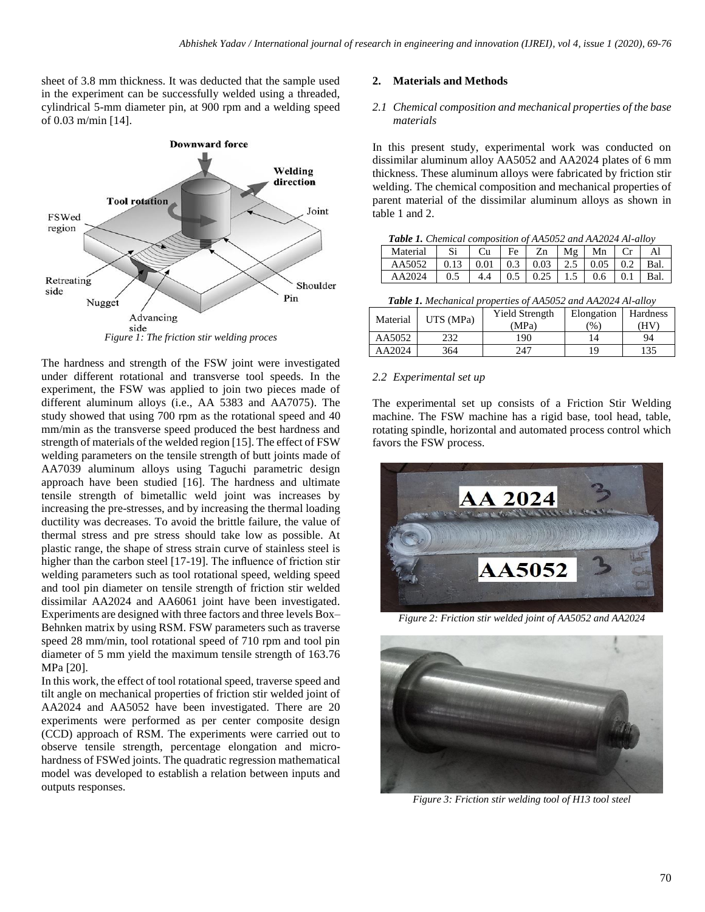sheet of 3.8 mm thickness. It was deducted that the sample used in the experiment can be successfully welded using a threaded, cylindrical 5-mm diameter pin, at 900 rpm and a welding speed of 0.03 m/min [14].



The hardness and strength of the FSW joint were investigated under different rotational and transverse tool speeds. In the experiment, the FSW was applied to join two pieces made of different aluminum alloys (i.e., AA 5383 and AA7075). The study showed that using 700 rpm as the rotational speed and 40 mm/min as the transverse speed produced the best hardness and strength of materials of the welded region [15]. The effect of FSW welding parameters on the tensile strength of butt joints made of AA7039 aluminum alloys using Taguchi parametric design approach have been studied [16]. The hardness and ultimate tensile strength of bimetallic weld joint was increases by increasing the pre-stresses, and by increasing the thermal loading ductility was decreases. To avoid the brittle failure, the value of thermal stress and pre stress should take low as possible. At plastic range, the shape of stress strain curve of stainless steel is higher than the carbon steel [17-19]. The influence of friction stir welding parameters such as tool rotational speed, welding speed and tool pin diameter on tensile strength of friction stir welded dissimilar AA2024 and AA6061 joint have been investigated. Experiments are designed with three factors and three levels Box– Behnken matrix by using RSM. FSW parameters such as traverse speed 28 mm/min, tool rotational speed of 710 rpm and tool pin diameter of 5 mm yield the maximum tensile strength of 163.76 MPa [20].

In this work, the effect of tool rotational speed, traverse speed and tilt angle on mechanical properties of friction stir welded joint of AA2024 and AA5052 have been investigated. There are 20 experiments were performed as per center composite design (CCD) approach of RSM. The experiments were carried out to observe tensile strength, percentage elongation and microhardness of FSWed joints. The quadratic regression mathematical model was developed to establish a relation between inputs and outputs responses.

### **2. Materials and Methods**

### *2.1 Chemical composition and mechanical properties of the base materials*

In this present study, experimental work was conducted on dissimilar aluminum alloy AA5052 and AA2024 plates of 6 mm thickness. These aluminum alloys were fabricated by friction stir welding. The chemical composition and mechanical properties of parent material of the dissimilar aluminum alloys as shown in table 1 and 2.

| <b>Table 1.</b> Chemical composition of AA5052 and AA2024 Al-alloy |                                                               |  |  |                                    |  |  |  |      |
|--------------------------------------------------------------------|---------------------------------------------------------------|--|--|------------------------------------|--|--|--|------|
| Material                                                           |                                                               |  |  | $Si$   Cu   Fe   Zn   Mg   Mn   Cr |  |  |  | - Al |
| AA5052                                                             |                                                               |  |  |                                    |  |  |  |      |
| AA2024                                                             | $0.5$   $4.4$   $0.5$   $0.25$   $1.5$   $0.6$   $0.1$   Bal. |  |  |                                    |  |  |  |      |

*Table 1. Mechanical properties of AA5052 and AA2024 Al-alloy*

| Material | UTS (MPa) | <b>Yield Strength</b> | Elongation    | Hardness |  |
|----------|-----------|-----------------------|---------------|----------|--|
|          |           | (MPa)                 | $\frac{9}{6}$ | (HV)     |  |
| AA5052   | 232       | 190                   |               | 94       |  |
| AA2024   | 364       | 247                   | 19            | 135      |  |

## *2.2 Experimental set up*

The experimental set up consists of a Friction Stir Welding machine. The FSW machine has a rigid base, tool head, table, rotating spindle, horizontal and automated process control which favors the FSW process.



*Figure 2: Friction stir welded joint of AA5052 and AA2024*



*Figure 3: Friction stir welding tool of H13 tool steel*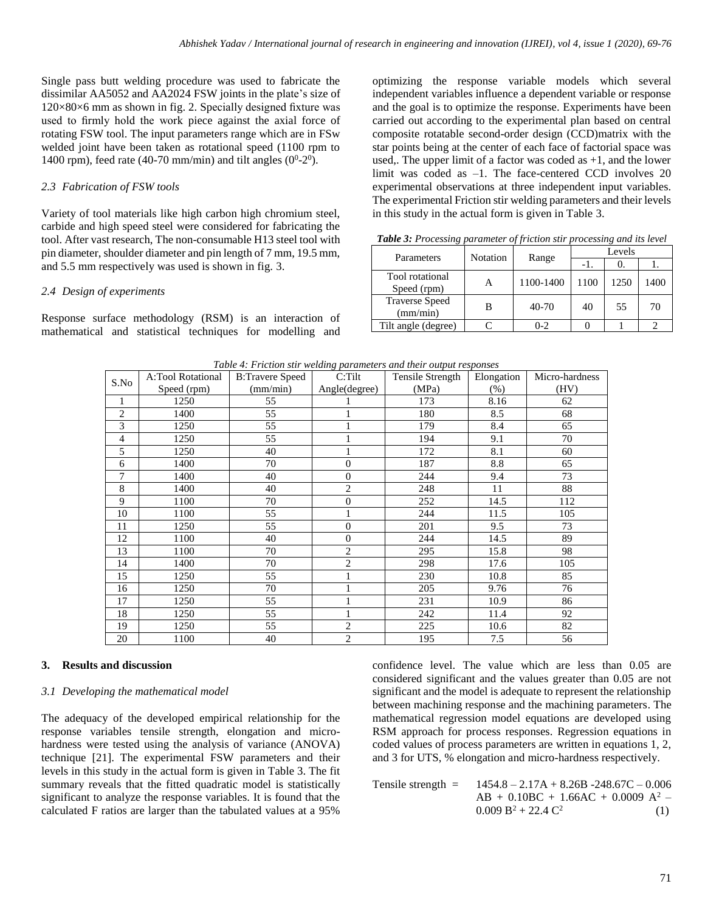Single pass butt welding procedure was used to fabricate the dissimilar AA5052 and AA2024 FSW joints in the plate's size of 120×80×6 mm as shown in fig. 2. Specially designed fixture was used to firmly hold the work piece against the axial force of rotating FSW tool. The input parameters range which are in FSw welded joint have been taken as rotational speed (1100 rpm to 1400 rpm), feed rate (40-70 mm/min) and tilt angles ( $0^0$ - $2^0$ ).

## *2.3 Fabrication of FSW tools*

Variety of tool materials like high carbon high chromium steel, carbide and high speed steel were considered for fabricating the tool. After vast research, The non-consumable H13 steel tool with pin diameter, shoulder diameter and pin length of 7 mm, 19.5 mm, and 5.5 mm respectively was used is shown in fig. 3.

## *2.4 Design of experiments*

Response surface methodology (RSM) is an interaction of mathematical and statistical techniques for modelling and optimizing the response variable models which several independent variables influence a dependent variable or response and the goal is to optimize the response. Experiments have been carried out according to the experimental plan based on central composite rotatable second-order design (CCD)matrix with the star points being at the center of each face of factorial space was used,. The upper limit of a factor was coded as  $+1$ , and the lower limit was coded as  $-1$ . The face-centered CCD involves 20 experimental observations at three independent input variables. The experimental Friction stir welding parameters and their levels in this study in the actual form is given in Table 3.

*Table 3: Processing parameter of friction stir processing and its level*

| Parameters                        | Notation |           |      | Levels |      |
|-----------------------------------|----------|-----------|------|--------|------|
|                                   | Range    |           | -1.  | O.     |      |
| Tool rotational<br>Speed (rpm)    | А        | 1100-1400 | 1100 | 1250   | 1400 |
| <b>Traverse Speed</b><br>(mm/min) |          | 40-70     | 40   | 55     | 70   |
| Tilt angle (degree)               |          | $0 - 2$   |      |        |      |

|                | A:Tool Rotational | таже т. т пенья зни мешту ранитетств ини теп бирин тевропосв<br><b>B:Travere Speed</b> | C: Tilt        | Tensile Strength | Elongation | Micro-hardness |
|----------------|-------------------|----------------------------------------------------------------------------------------|----------------|------------------|------------|----------------|
| S.No           | Speed (rpm)       | (mm/min)                                                                               | Angle(degree)  | (MPa)            | (% )       | (HV)           |
|                | 1250              | 55                                                                                     |                | 173              | 8.16       | 62             |
| $\overline{c}$ | 1400              | 55                                                                                     |                | 180              | 8.5        | 68             |
| 3              | 1250              | 55                                                                                     |                | 179              | 8.4        | 65             |
| $\overline{4}$ | 1250              | 55                                                                                     |                | 194              | 9.1        | 70             |
| 5              | 1250              | 40                                                                                     |                | 172              | 8.1        | 60             |
| 6              | 1400              | 70                                                                                     | $\theta$       | 187              | 8.8        | 65             |
| 7              | 1400              | 40                                                                                     | $\theta$       | 244              | 9.4        | 73             |
| 8              | 1400              | 40                                                                                     | 2              | 248              | 11         | 88             |
| 9              | 1100              | 70                                                                                     | $\overline{0}$ | 252              | 14.5       | 112            |
| 10             | 1100              | 55                                                                                     |                | 244              | 11.5       | 105            |
| 11             | 1250              | 55                                                                                     | $\theta$       | 201              | 9.5        | 73             |
| 12             | 1100              | 40                                                                                     | $\Omega$       | 244              | 14.5       | 89             |
| 13             | 1100              | 70                                                                                     | $\overline{c}$ | 295              | 15.8       | 98             |
| 14             | 1400              | 70                                                                                     | $\overline{2}$ | 298              | 17.6       | 105            |
| 15             | 1250              | 55                                                                                     |                | 230              | 10.8       | 85             |
| 16             | 1250              | 70                                                                                     |                | 205              | 9.76       | 76             |
| 17             | 1250              | 55                                                                                     |                | 231              | 10.9       | 86             |
| 18             | 1250              | 55                                                                                     |                | 242              | 11.4       | 92             |
| 19             | 1250              | 55                                                                                     | $\overline{2}$ | 225              | 10.6       | 82             |
| 20             | 1100              | 40                                                                                     | $\overline{2}$ | 195              | 7.5        | 56             |

*Table 4: Friction stir welding parameters and their output responses*

## **3. Results and discussion**

#### *3.1 Developing the mathematical model*

The adequacy of the developed empirical relationship for the response variables tensile strength, elongation and microhardness were tested using the analysis of variance (ANOVA) technique [21]. The experimental FSW parameters and their levels in this study in the actual form is given in Table 3. The fit summary reveals that the fitted quadratic model is statistically significant to analyze the response variables. It is found that the calculated F ratios are larger than the tabulated values at a 95%

confidence level. The value which are less than 0.05 are considered significant and the values greater than 0.05 are not significant and the model is adequate to represent the relationship between machining response and the machining parameters. The mathematical regression model equations are developed using RSM approach for process responses. Regression equations in coded values of process parameters are written in equations 1, 2, and 3 for UTS, % elongation and micro-hardness respectively.

Tensile strength =  $1454.8 - 2.17A + 8.26B - 248.67C - 0.006$  $AB + 0.10BC + 1.66AC + 0.0009 A^2$  –  $0.009 B^2 + 22.4 C^2$ (1)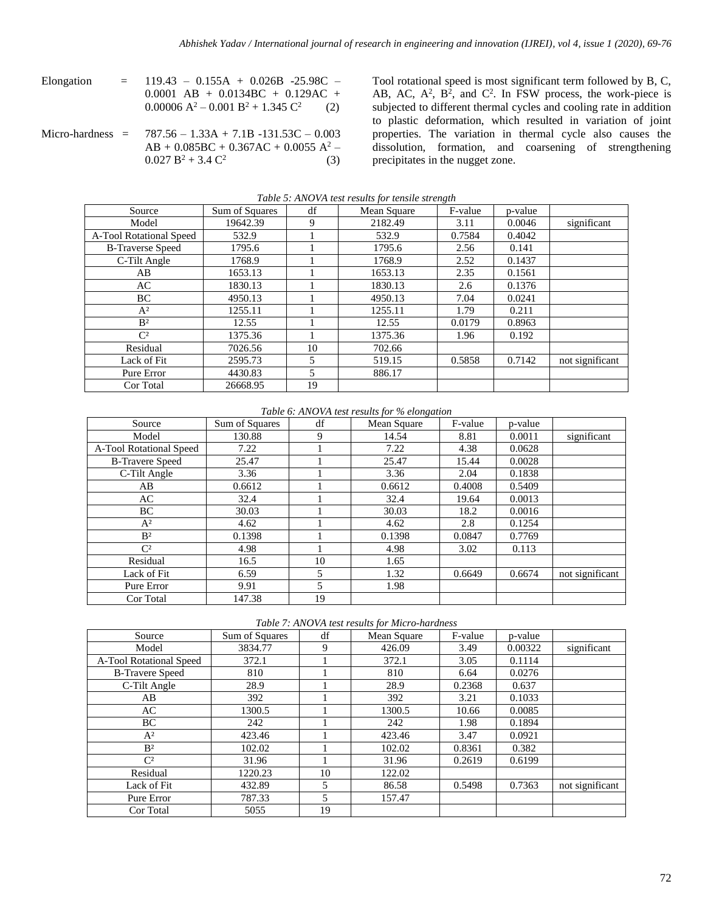- Elongation =  $119.43 0.155A + 0.026B -25.98C -$ 0.0001 AB + 0.0134BC + 0.129AC +  $0.00006 A^2 - 0.001 B^2 + 1.345 C$ <sup>2</sup>(2)
- Micro-hardness =  $787.56 1.33A + 7.1B 131.53C 0.003$  $AB + 0.085BC + 0.367AC + 0.0055 A^2$  –  $0.027 B^2 + 3.4 C^2$ (3)

Tool rotational speed is most significant term followed by B, C, AB, AC,  $A^2$ ,  $B^2$ , and  $C^2$ . In FSW process, the work-piece is subjected to different thermal cycles and cooling rate in addition to plastic deformation, which resulted in variation of joint properties. The variation in thermal cycle also causes the dissolution, formation, and coarsening of strengthening precipitates in the nugget zone.

|                         | Tuble 5. AlvOVA lest results for tensue strength |    |             |         |         |                 |  |  |  |
|-------------------------|--------------------------------------------------|----|-------------|---------|---------|-----------------|--|--|--|
| Source                  | Sum of Squares                                   | df | Mean Square | F-value | p-value |                 |  |  |  |
| Model                   | 19642.39                                         | 9  | 2182.49     | 3.11    | 0.0046  | significant     |  |  |  |
| A-Tool Rotational Speed | 532.9                                            |    | 532.9       | 0.7584  | 0.4042  |                 |  |  |  |
| <b>B-Traverse Speed</b> | 1795.6                                           |    | 1795.6      | 2.56    | 0.141   |                 |  |  |  |
| C-Tilt Angle            | 1768.9                                           |    | 1768.9      | 2.52    | 0.1437  |                 |  |  |  |
| AB                      | 1653.13                                          |    | 1653.13     | 2.35    | 0.1561  |                 |  |  |  |
| AC                      | 1830.13                                          |    | 1830.13     | 2.6     | 0.1376  |                 |  |  |  |
| ВC                      | 4950.13                                          |    | 4950.13     | 7.04    | 0.0241  |                 |  |  |  |
| $A^2$                   | 1255.11                                          |    | 1255.11     | 1.79    | 0.211   |                 |  |  |  |
| B <sup>2</sup>          | 12.55                                            |    | 12.55       | 0.0179  | 0.8963  |                 |  |  |  |
| $\mathbb{C}^2$          | 1375.36                                          |    | 1375.36     | 1.96    | 0.192   |                 |  |  |  |
| Residual                | 7026.56                                          | 10 | 702.66      |         |         |                 |  |  |  |
| Lack of Fit             | 2595.73                                          | 5  | 519.15      | 0.5858  | 0.7142  | not significant |  |  |  |
| Pure Error              | 4430.83                                          | 5  | 886.17      |         |         |                 |  |  |  |
| Cor Total               | 26668.95                                         | 19 |             |         |         |                 |  |  |  |

*Table 5: ANOVA test results for tensile strength*

*Table 6: ANOVA test results for % elongation*

| Source                  | Sum of Squares | df | Mean Square | F-value | p-value |                 |
|-------------------------|----------------|----|-------------|---------|---------|-----------------|
| Model                   | 130.88         | 9  | 14.54       | 8.81    | 0.0011  | significant     |
| A-Tool Rotational Speed | 7.22           |    | 7.22        | 4.38    | 0.0628  |                 |
| <b>B-Travere Speed</b>  | 25.47          |    | 25.47       | 15.44   | 0.0028  |                 |
| C-Tilt Angle            | 3.36           |    | 3.36        | 2.04    | 0.1838  |                 |
| AB                      | 0.6612         |    | 0.6612      | 0.4008  | 0.5409  |                 |
| AC                      | 32.4           |    | 32.4        | 19.64   | 0.0013  |                 |
| BC                      | 30.03          |    | 30.03       | 18.2    | 0.0016  |                 |
| $A^2$                   | 4.62           |    | 4.62        | 2.8     | 0.1254  |                 |
| B <sup>2</sup>          | 0.1398         |    | 0.1398      | 0.0847  | 0.7769  |                 |
| $\mathbb{C}^2$          | 4.98           |    | 4.98        | 3.02    | 0.113   |                 |
| Residual                | 16.5           | 10 | 1.65        |         |         |                 |
| Lack of Fit             | 6.59           | 5  | 1.32        | 0.6649  | 0.6674  | not significant |
| Pure Error              | 9.91           | 5  | 1.98        |         |         |                 |
| Cor Total               | 147.38         | 19 |             |         |         |                 |

*Table 7: ANOVA test results for Micro-hardness*

| Source                  | Sum of Squares | df | Mean Square | F-value | p-value |                 |
|-------------------------|----------------|----|-------------|---------|---------|-----------------|
| Model                   | 3834.77        | 9  | 426.09      | 3.49    | 0.00322 | significant     |
| A-Tool Rotational Speed | 372.1          |    | 372.1       | 3.05    | 0.1114  |                 |
| <b>B-Travere Speed</b>  | 810            |    | 810         | 6.64    | 0.0276  |                 |
| C-Tilt Angle            | 28.9           |    | 28.9        | 0.2368  | 0.637   |                 |
| AB                      | 392            |    | 392         | 3.21    | 0.1033  |                 |
| AC                      | 1300.5         |    | 1300.5      | 10.66   | 0.0085  |                 |
| ВC                      | 242            |    | 242         | 1.98    | 0.1894  |                 |
| $A^2$                   | 423.46         |    | 423.46      | 3.47    | 0.0921  |                 |
| B <sup>2</sup>          | 102.02         |    | 102.02      | 0.8361  | 0.382   |                 |
| $\mathbb{C}^2$          | 31.96          |    | 31.96       | 0.2619  | 0.6199  |                 |
| Residual                | 1220.23        | 10 | 122.02      |         |         |                 |
| Lack of Fit             | 432.89         | 5  | 86.58       | 0.5498  | 0.7363  | not significant |
| Pure Error              | 787.33         |    | 157.47      |         |         |                 |
| Cor Total               | 5055           | 19 |             |         |         |                 |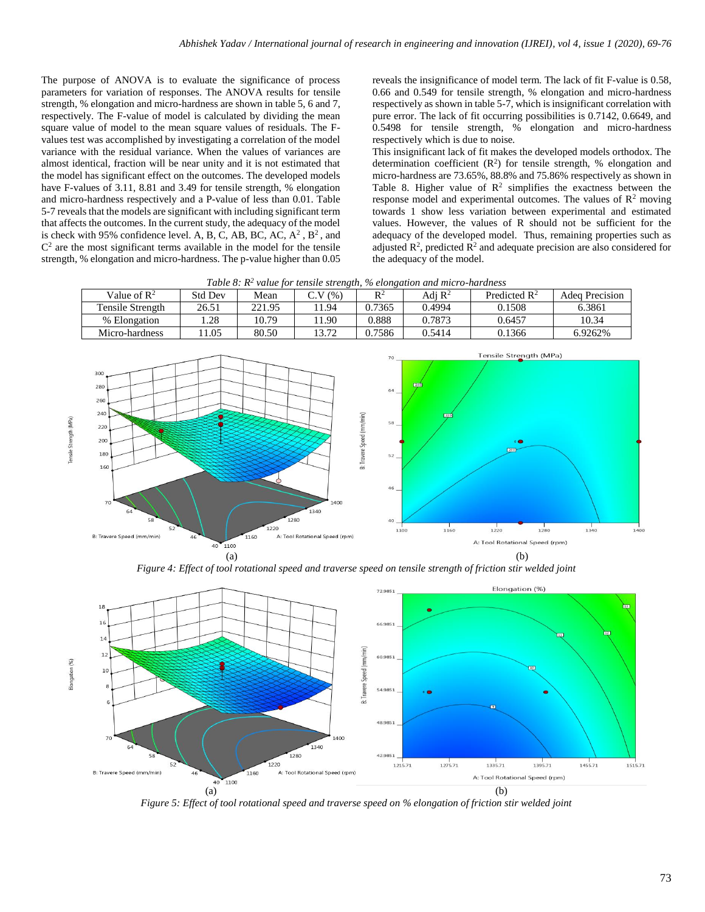The purpose of ANOVA is to evaluate the significance of process parameters for variation of responses. The ANOVA results for tensile strength, % elongation and micro-hardness are shown in table 5, 6 and 7, respectively. The F-value of model is calculated by dividing the mean square value of model to the mean square values of residuals. The Fvalues test was accomplished by investigating a correlation of the model variance with the residual variance. When the values of variances are almost identical, fraction will be near unity and it is not estimated that the model has significant effect on the outcomes. The developed models have F-values of 3.11, 8.81 and 3.49 for tensile strength, % elongation and micro-hardness respectively and a P-value of less than 0.01. Table 5-7 reveals that the models are significant with including significant term that affects the outcomes. In the current study, the adequacy of the model is check with 95% confidence level. A, B, C, AB, BC, AC,  $A^2$ ,  $B^2$ , and  $C<sup>2</sup>$  are the most significant terms available in the model for the tensile strength, % elongation and micro-hardness. The p-value higher than 0.05

reveals the insignificance of model term. The lack of fit F-value is 0.58, 0.66 and 0.549 for tensile strength, % elongation and micro-hardness respectively as shown in table 5-7, which is insignificant correlation with pure error. The lack of fit occurring possibilities is 0.7142, 0.6649, and 0.5498 for tensile strength, % elongation and micro-hardness respectively which is due to noise.

This insignificant lack of fit makes the developed models orthodox. The determination coefficient  $(R^2)$  for tensile strength, % elongation and micro-hardness are 73.65%, 88.8% and 75.86% respectively as shown in Table 8. Higher value of  $\mathbb{R}^2$  simplifies the exactness between the response model and experimental outcomes. The values of  $\mathbb{R}^2$  moving towards 1 show less variation between experimental and estimated values. However, the values of R should not be sufficient for the adequacy of the developed model. Thus, remaining properties such as adjusted  $\mathbb{R}^2$ , predicted  $\mathbb{R}^2$  and adequate precision are also considered for the adequacy of the model.

| Table 6. K value for lensue strength, % elongation and micro-naraness |                |        |        |        |                    |                          |                |
|-----------------------------------------------------------------------|----------------|--------|--------|--------|--------------------|--------------------------|----------------|
| Value of $\mathbb{R}^2$                                               | <b>Std Dev</b> | Mean   | C.V(%) | $R^2$  | Adi $\mathbb{R}^2$ | Predicted $\mathbb{R}^2$ | Adea Precision |
| Tensile Strength                                                      | 26.51          | 221.95 | 1.94   | 0.7365 | 0.4994             | 0.1508                   | 6.3861         |
| % Elongation                                                          | .28            | 10.79  | 1.90   | 0.888  | 0.7873             | 0.6457                   | 10.34          |
| Micro-hardness                                                        | 1.05           | 80.50  | 13.72  | 0.7586 | 0.5414             | 0.1366                   | 6.9262%        |

*Table 8: R<sup>2</sup> value for tensile strength, % elongation and micro-hardness*



*Figure 4: Effect of tool rotational speed and traverse speed on tensile strength of friction stir welded joint*



*Figure 5: Effect of tool rotational speed and traverse speed on % elongation of friction stir welded joint*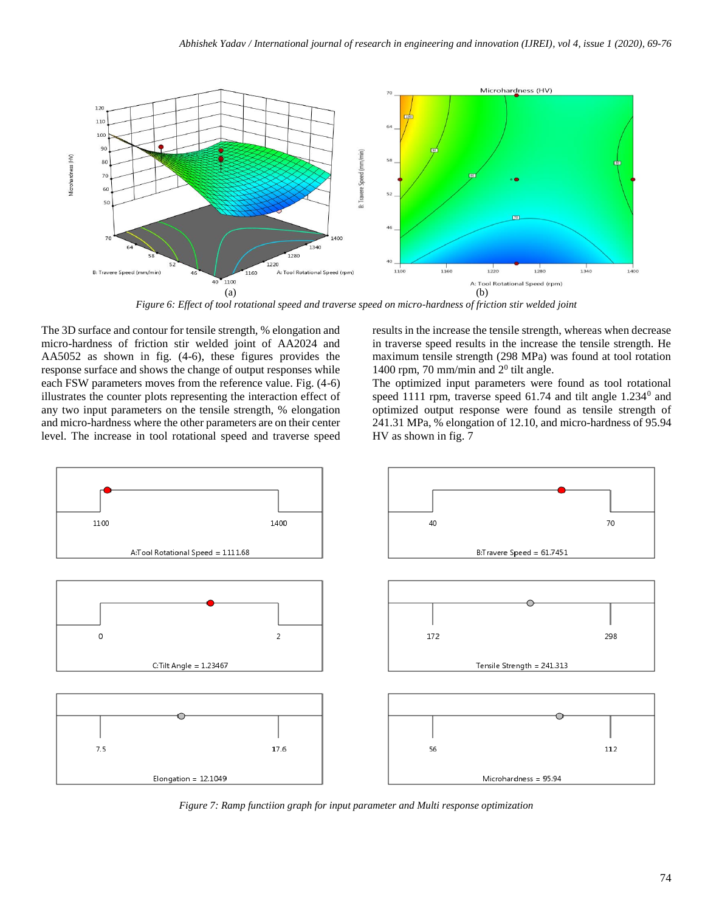

*Figure 6: Effect of tool rotational speed and traverse speed on micro-hardness of friction stir welded joint*

The 3D surface and contour for tensile strength, % elongation and micro-hardness of friction stir welded joint of AA2024 and AA5052 as shown in fig. (4-6), these figures provides the response surface and shows the change of output responses while each FSW parameters moves from the reference value. Fig. (4-6) illustrates the counter plots representing the interaction effect of any two input parameters on the tensile strength, % elongation and micro-hardness where the other parameters are on their center level. The increase in tool rotational speed and traverse speed

results in the increase the tensile strength, whereas when decrease in traverse speed results in the increase the tensile strength. He maximum tensile strength (298 MPa) was found at tool rotation 1400 rpm, 70 mm/min and  $2<sup>0</sup>$  tilt angle.

The optimized input parameters were found as tool rotational speed 1111 rpm, traverse speed  $61.74$  and tilt angle  $1.234<sup>0</sup>$  and optimized output response were found as tensile strength of 241.31 MPa, % elongation of 12.10, and micro-hardness of 95.94 HV as shown in fig. 7



*Figure 7: Ramp functiion graph for input parameter and Multi response optimization*